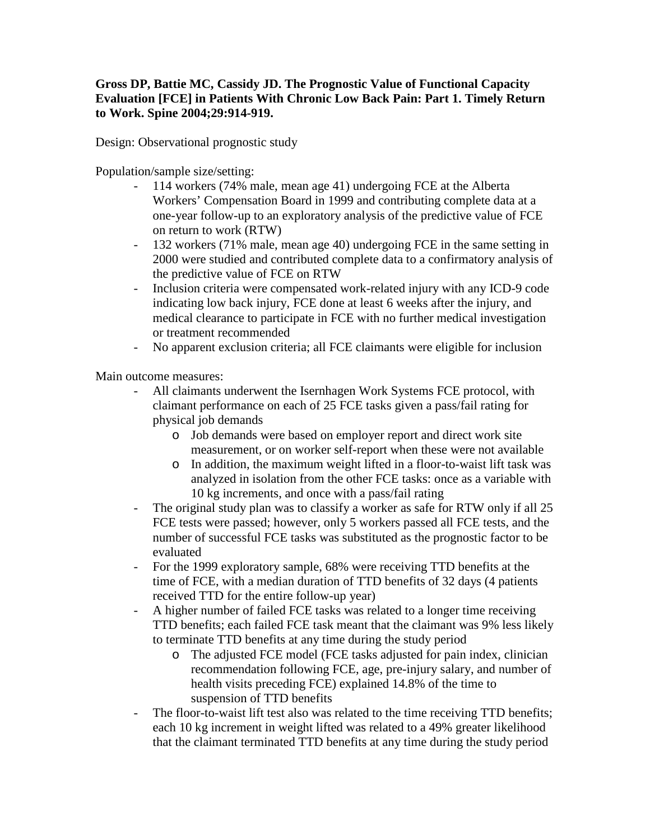## **Gross DP, Battie MC, Cassidy JD. The Prognostic Value of Functional Capacity Evaluation [FCE] in Patients With Chronic Low Back Pain: Part 1. Timely Return to Work. Spine 2004;29:914-919.**

Design: Observational prognostic study

Population/sample size/setting:

- 114 workers (74% male, mean age 41) undergoing FCE at the Alberta Workers' Compensation Board in 1999 and contributing complete data at a one-year follow-up to an exploratory analysis of the predictive value of FCE on return to work (RTW)
- 132 workers (71% male, mean age 40) undergoing FCE in the same setting in 2000 were studied and contributed complete data to a confirmatory analysis of the predictive value of FCE on RTW
- Inclusion criteria were compensated work-related injury with any ICD-9 code indicating low back injury, FCE done at least 6 weeks after the injury, and medical clearance to participate in FCE with no further medical investigation or treatment recommended
- No apparent exclusion criteria; all FCE claimants were eligible for inclusion

Main outcome measures:

- All claimants underwent the Isernhagen Work Systems FCE protocol, with claimant performance on each of 25 FCE tasks given a pass/fail rating for physical job demands
	- o Job demands were based on employer report and direct work site measurement, or on worker self-report when these were not available
	- o In addition, the maximum weight lifted in a floor-to-waist lift task was analyzed in isolation from the other FCE tasks: once as a variable with 10 kg increments, and once with a pass/fail rating
- The original study plan was to classify a worker as safe for RTW only if all 25 FCE tests were passed; however, only 5 workers passed all FCE tests, and the number of successful FCE tasks was substituted as the prognostic factor to be evaluated
- For the 1999 exploratory sample, 68% were receiving TTD benefits at the time of FCE, with a median duration of TTD benefits of 32 days (4 patients received TTD for the entire follow-up year)
- A higher number of failed FCE tasks was related to a longer time receiving TTD benefits; each failed FCE task meant that the claimant was 9% less likely to terminate TTD benefits at any time during the study period
	- o The adjusted FCE model (FCE tasks adjusted for pain index, clinician recommendation following FCE, age, pre-injury salary, and number of health visits preceding FCE) explained 14.8% of the time to suspension of TTD benefits
- The floor-to-waist lift test also was related to the time receiving TTD benefits; each 10 kg increment in weight lifted was related to a 49% greater likelihood that the claimant terminated TTD benefits at any time during the study period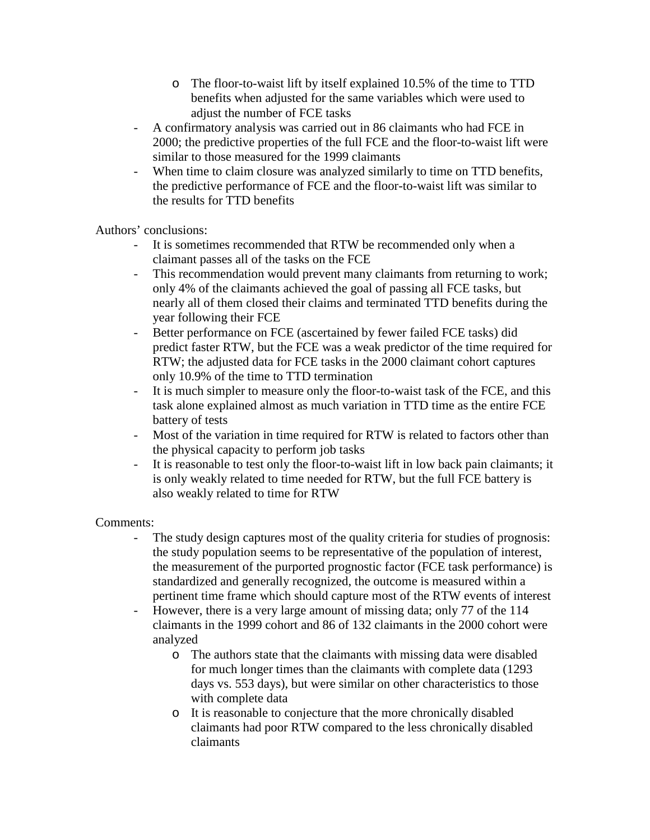- o The floor-to-waist lift by itself explained 10.5% of the time to TTD benefits when adjusted for the same variables which were used to adjust the number of FCE tasks
- A confirmatory analysis was carried out in 86 claimants who had FCE in 2000; the predictive properties of the full FCE and the floor-to-waist lift were similar to those measured for the 1999 claimants
- When time to claim closure was analyzed similarly to time on TTD benefits, the predictive performance of FCE and the floor-to-waist lift was similar to the results for TTD benefits

Authors' conclusions:

- It is sometimes recommended that RTW be recommended only when a claimant passes all of the tasks on the FCE
- This recommendation would prevent many claimants from returning to work; only 4% of the claimants achieved the goal of passing all FCE tasks, but nearly all of them closed their claims and terminated TTD benefits during the year following their FCE
- Better performance on FCE (ascertained by fewer failed FCE tasks) did predict faster RTW, but the FCE was a weak predictor of the time required for RTW; the adjusted data for FCE tasks in the 2000 claimant cohort captures only 10.9% of the time to TTD termination
- It is much simpler to measure only the floor-to-waist task of the FCE, and this task alone explained almost as much variation in TTD time as the entire FCE battery of tests
- Most of the variation in time required for RTW is related to factors other than the physical capacity to perform job tasks
- It is reasonable to test only the floor-to-waist lift in low back pain claimants; it is only weakly related to time needed for RTW, but the full FCE battery is also weakly related to time for RTW

Comments:

- The study design captures most of the quality criteria for studies of prognosis: the study population seems to be representative of the population of interest, the measurement of the purported prognostic factor (FCE task performance) is standardized and generally recognized, the outcome is measured within a pertinent time frame which should capture most of the RTW events of interest
- However, there is a very large amount of missing data; only 77 of the 114 claimants in the 1999 cohort and 86 of 132 claimants in the 2000 cohort were analyzed
	- o The authors state that the claimants with missing data were disabled for much longer times than the claimants with complete data (1293 days vs. 553 days), but were similar on other characteristics to those with complete data
	- o It is reasonable to conjecture that the more chronically disabled claimants had poor RTW compared to the less chronically disabled claimants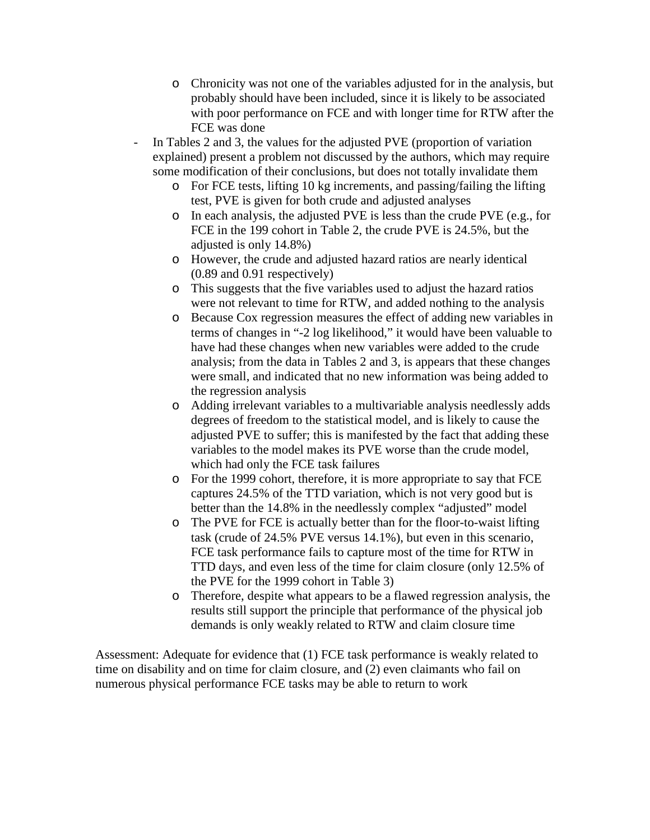- o Chronicity was not one of the variables adjusted for in the analysis, but probably should have been included, since it is likely to be associated with poor performance on FCE and with longer time for RTW after the FCE was done
- In Tables 2 and 3, the values for the adjusted PVE (proportion of variation explained) present a problem not discussed by the authors, which may require some modification of their conclusions, but does not totally invalidate them
	- o For FCE tests, lifting 10 kg increments, and passing/failing the lifting test, PVE is given for both crude and adjusted analyses
	- o In each analysis, the adjusted PVE is less than the crude PVE (e.g., for FCE in the 199 cohort in Table 2, the crude PVE is 24.5%, but the adjusted is only 14.8%)
	- o However, the crude and adjusted hazard ratios are nearly identical (0.89 and 0.91 respectively)
	- o This suggests that the five variables used to adjust the hazard ratios were not relevant to time for RTW, and added nothing to the analysis
	- o Because Cox regression measures the effect of adding new variables in terms of changes in "-2 log likelihood," it would have been valuable to have had these changes when new variables were added to the crude analysis; from the data in Tables 2 and 3, is appears that these changes were small, and indicated that no new information was being added to the regression analysis
	- o Adding irrelevant variables to a multivariable analysis needlessly adds degrees of freedom to the statistical model, and is likely to cause the adjusted PVE to suffer; this is manifested by the fact that adding these variables to the model makes its PVE worse than the crude model, which had only the FCE task failures
	- o For the 1999 cohort, therefore, it is more appropriate to say that FCE captures 24.5% of the TTD variation, which is not very good but is better than the 14.8% in the needlessly complex "adjusted" model
	- o The PVE for FCE is actually better than for the floor-to-waist lifting task (crude of 24.5% PVE versus 14.1%), but even in this scenario, FCE task performance fails to capture most of the time for RTW in TTD days, and even less of the time for claim closure (only 12.5% of the PVE for the 1999 cohort in Table 3)
	- o Therefore, despite what appears to be a flawed regression analysis, the results still support the principle that performance of the physical job demands is only weakly related to RTW and claim closure time

Assessment: Adequate for evidence that (1) FCE task performance is weakly related to time on disability and on time for claim closure, and (2) even claimants who fail on numerous physical performance FCE tasks may be able to return to work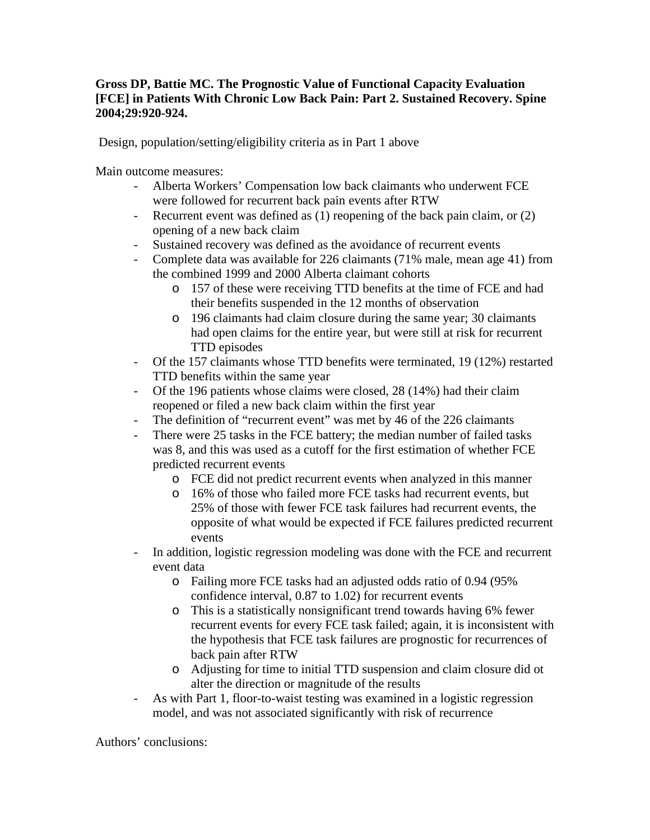## **Gross DP, Battie MC. The Prognostic Value of Functional Capacity Evaluation [FCE] in Patients With Chronic Low Back Pain: Part 2. Sustained Recovery. Spine 2004;29:920-924.**

Design, population/setting/eligibility criteria as in Part 1 above

Main outcome measures:

- Alberta Workers' Compensation low back claimants who underwent FCE were followed for recurrent back pain events after RTW
- Recurrent event was defined as (1) reopening of the back pain claim, or (2) opening of a new back claim
- Sustained recovery was defined as the avoidance of recurrent events
- Complete data was available for 226 claimants (71% male, mean age 41) from the combined 1999 and 2000 Alberta claimant cohorts
	- o 157 of these were receiving TTD benefits at the time of FCE and had their benefits suspended in the 12 months of observation
	- o 196 claimants had claim closure during the same year; 30 claimants had open claims for the entire year, but were still at risk for recurrent TTD episodes
- Of the 157 claimants whose TTD benefits were terminated, 19 (12%) restarted TTD benefits within the same year
- Of the 196 patients whose claims were closed, 28 (14%) had their claim reopened or filed a new back claim within the first year
- The definition of "recurrent event" was met by 46 of the 226 claimants
- There were 25 tasks in the FCE battery; the median number of failed tasks was 8, and this was used as a cutoff for the first estimation of whether FCE predicted recurrent events
	- o FCE did not predict recurrent events when analyzed in this manner
	- o 16% of those who failed more FCE tasks had recurrent events, but 25% of those with fewer FCE task failures had recurrent events, the opposite of what would be expected if FCE failures predicted recurrent events
- In addition, logistic regression modeling was done with the FCE and recurrent event data
	- o Failing more FCE tasks had an adjusted odds ratio of 0.94 (95% confidence interval, 0.87 to 1.02) for recurrent events
	- o This is a statistically nonsignificant trend towards having 6% fewer recurrent events for every FCE task failed; again, it is inconsistent with the hypothesis that FCE task failures are prognostic for recurrences of back pain after RTW
	- o Adjusting for time to initial TTD suspension and claim closure did ot alter the direction or magnitude of the results
- As with Part 1, floor-to-waist testing was examined in a logistic regression model, and was not associated significantly with risk of recurrence

Authors' conclusions: